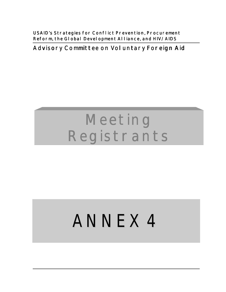**USAID's Strategies for Conflict Prevention, Procurement** Reform, the Global Development Alliance, and HIV/AIDS

## **Advisory Committee on Voluntary Foreign Aid**

## **Meeting Registrants**

# ANNEX 4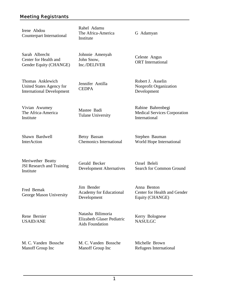| Irene Abdou<br>Counterpart International                                         | Rahel Adamu<br>The Africa-America<br>Institute                            | G Adamyan                                                                 |
|----------------------------------------------------------------------------------|---------------------------------------------------------------------------|---------------------------------------------------------------------------|
| Sarah Albrecht<br>Center for Health and<br>Gender Equity (CHANGE)                | Johnnie Amenyah<br>John Snow,<br>Inc./DELIVER                             | Celeste Angus<br><b>ORT</b> International                                 |
| Thomas Anklewich<br>United States Agency for<br><b>International Development</b> | Jennifer Antilla<br><b>CEDPA</b>                                          | Robert J. Asselin<br>Nonprofit Organization<br>Development                |
| Vivian Awumey<br>The Africa-America<br>Institute                                 | Mastee Badi<br><b>Tulane University</b>                                   | Rabine Bahrenbegi<br><b>Medical Services Corporation</b><br>International |
| Shawn Bardwell<br>InterAction                                                    | Betsy Bassan<br><b>Chemonics International</b>                            | Stephen Bauman<br>World Hope International                                |
| Meriwether Beatty<br>JSI Research and Training<br>Institute                      | Gerald Becker<br><b>Development Alternatives</b>                          | Ozsel Beleli<br>Search for Common Ground                                  |
| Fred Bemak<br>George Mason University                                            | Jim Bender<br>Academy for Educational<br>Development                      | Anna Benton<br>Center for Health and Gender<br>Equity (CHANGE)            |
| Rene Bernier<br><b>USAID/ANE</b>                                                 | Natasha Bilimoria<br>Elizabeth Glaser Pediatric<br><b>Aids Foundation</b> | Kerry Bolognese<br><b>NASULGC</b>                                         |
| M. C. Vanden Bossche<br>Manoff Group Inc                                         | M. C. Vanden Bossche<br>Manoff Group Inc                                  | Michelle Brown<br>Refugees International                                  |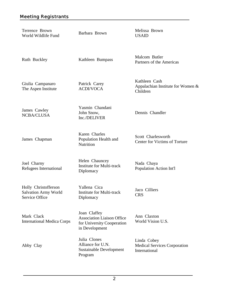| Terrence Brown<br>World Wildlife Fund                                        | Barbara Brown                                                                                     | Melissa Brown<br><b>USAID</b>                                       |
|------------------------------------------------------------------------------|---------------------------------------------------------------------------------------------------|---------------------------------------------------------------------|
| Ruth Buckley                                                                 | Kathleen Bumpass                                                                                  | Malcom Butler<br>Partners of the Americas                           |
| Giulia Campanaro<br>The Aspen Institute                                      | Patrick Carey<br><b>ACDI/VOCA</b>                                                                 | Kathleen Cash<br>Appalachian Institute for Women $\&$<br>Children   |
| James Cawley<br>NCBA/CLUSA                                                   | Yasmin Chandani<br>John Snow,<br>Inc./DELIVER                                                     | Dennis Chandler                                                     |
| James Chapman                                                                | Karen Charles<br>Population Health and<br>Nutrition                                               | Scott Charlesworth<br>Center for Victims of Torture                 |
| Joel Charny<br>Refugees International                                        | Helen Chauncey<br><b>Institute for Multi-track</b><br>Diplomacy                                   | Nada Chaya<br>Population Action Int'l                               |
| Holly Christofferson<br><b>Salvation Army World</b><br><b>Service Office</b> | Yallena Cica<br><b>Institute for Multi-track</b><br>Diplomacy                                     | Jaco Cilliers<br><b>CRS</b>                                         |
| Mark Clack<br><b>International Medica Corps</b>                              | Joan Claffey<br><b>Association Liaison Office</b><br>for University Cooperation<br>in Development | Ann Claxton<br>World Vision U.S.                                    |
| Abby Clay                                                                    | Julia Clones<br>Alliance for U.N.<br><b>Sustainable Development</b><br>Program                    | Linda Cobey<br><b>Medical Services Corporation</b><br>International |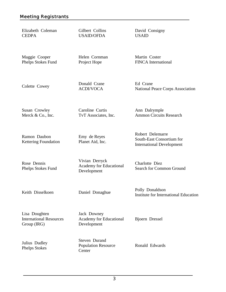| Elizabeth Coleman<br><b>CEDPA</b>                              | Gilbert Collins<br><b>USAID/OFDA</b>                     | David Consigny<br><b>USAID</b>                                                    |
|----------------------------------------------------------------|----------------------------------------------------------|-----------------------------------------------------------------------------------|
| Maggie Cooper<br>Phelps Stokes Fund                            | Helen Cornman<br>Project Hope                            | Martin Coster<br>FINCA International                                              |
| Colette Cowey                                                  | Donald Crane<br><b>ACDI/VOCA</b>                         | Ed Crane<br><b>National Peace Corps Association</b>                               |
| Susan Crowley<br>Merck & Co., Inc.                             | Caroline Curtis<br>TvT Associates, Inc.                  | Ann Dalrymple<br><b>Ammon Circuits Research</b>                                   |
| Ramon Daubon<br>Kettering Foundation                           | Emy de Reyes<br>Planet Aid, Inc.                         | Robert Delemarre<br>South-East Consortium for<br><b>International Development</b> |
| Rose Dennis<br>Phelps Stokes Fund                              | Vivian Derryck<br>Academy for Educational<br>Development | Charlotte Diez<br>Search for Common Ground                                        |
| Keith Disselkoen                                               | Daniel Donaghue                                          | Polly Donaldson<br>Institute for International Education                          |
| Lisa Doughten<br><b>International Resources</b><br>Group (IRG) | Jack Downey<br>Academy for Educational<br>Development    | Bjoern Dressel                                                                    |
| Julius Dudley<br><b>Phelps Stokes</b>                          | Steven Durand<br><b>Population Resource</b><br>Center    | Ronald Edwards                                                                    |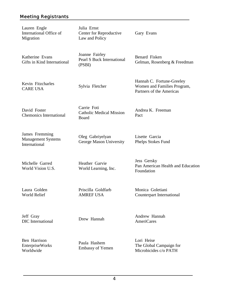| Lauren Engle<br>International Office of<br>Migration         | Julia Ernst<br>Center for Reproductive<br>Law and Policy      | Gary Evans                                                                           |
|--------------------------------------------------------------|---------------------------------------------------------------|--------------------------------------------------------------------------------------|
| Katherine Evans<br>Gifts in Kind International               | Joanne Fairley<br><b>Pearl S Buck International</b><br>(PSBI) | Benard Fisken<br>Gelman, Rosenberg & Freedman                                        |
| Kevin Fitzcharles<br><b>CARE USA</b>                         | Sylvia Fletcher                                               | Hannah C. Fortune-Greeley<br>Women and Families Program,<br>Partners of the Americas |
| David Foster<br><b>Chemonics International</b>               | Carrie Foti<br><b>Catholic Medical Mission</b><br>Board       | Andrea K. Freeman<br>Pact                                                            |
| James Fremming<br><b>Management Systems</b><br>International | Oleg Gabriyelyan<br>George Mason University                   | Lisette Garcia<br>Phelps Stokes Fund                                                 |
| Michelle Garred<br>World Vision U.S.                         | Heather Garvie<br>World Learning, Inc.                        | Jess Gersky<br>Pan American Health and Education<br>Foundation                       |
| Laura Golden<br><b>World Relief</b>                          | Priscilla Goldfarb<br><b>AMREF USA</b>                        | Monica Goletiani<br>Counterpart International                                        |
| Jeff Gray<br><b>DIC</b> International                        | Drew Hannah                                                   | Andrew Hannah<br><b>AmeriCares</b>                                                   |
| Ben Harrison<br><b>EnterpriseWorks</b><br>Worldwide          | Paula Hashem<br><b>Embassy of Yemen</b>                       | Lori Heise<br>The Global Campaign for<br>Microbicides c/o PATH                       |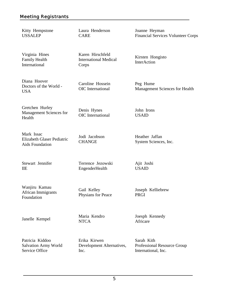Kitty Hempstone USSALEP

Virginia Hines Family Health **International** 

Laura Henderson CARE

Karen Hirschfeld International Medical Corps

Kirsten Hongisto InterAction

Diana Hoover Doctors of the World - USA

Gretchen Hurley Management Sciences for Health

Mark Issac Elizabeth Glaser Pediatric Aids Foundation

Stewart Jennifer IIE

Foundation

Wanjiru Kamau African Immigrants

Gail Kelley Physians for Peace

Terrence Jezowski EngenderHealth

Janelle Kempel Maria Kendro

**NTCA** 

Joesph Kennedy Africare

Joseph Kelliebrew

Patricia Kiddoo Salvation Army World Service Office

Erika Kirwen Development Alternatives, Inc.

5

Sarah Kith Professional Resource Group International, Inc.

Heather Jaffan System Sciences, Inc.

Ajit Joshi USAID

PRGI

John Irons USAID

Peg Hume

Management Sciences for Health

Caroline Hossein OIC International

Denis Hynes OIC International

Jodi Jacobson **CHANGE** 

Financial Services Volunteer Corps

Joanne Heyman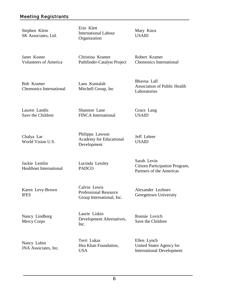Stephen Klein SK Associates, Ltd. Erin Klett International Labour Organization

Mary Knox USAID

Janet Koster Volunteers of America Christina Kramer Pathfinder-Catalyst Project Robert Kramer Chemonics International

Bob Kramer Chemonics International Lans Kumalah Mitchell Group, Inc Bhavna Lall Association of Public Health Laboratories

Lauren Landis Save the Children Shannon Lane FINCA International

Grace Lang USAID

Jeff Lehrer USAID

Sarah Levin

Citizen Participation Program, Partners of the Americas

Chalya Lar World Vision U.S.

Jackie Lemlin Healthnet International

Karen Levy-Brown IFES

Nancy Lindborg Mercy Corps

Lucinda Lessley PADCO

Philippa Lawson

Development

Academy for Educational

Calvin Lewis Professional Resource Group International, Inc.

Laurie Liskin Development Alternatives, Inc.

Ronnie Lovich

Alexander Lezhnev Georgetown University

Save the Children

Nancy Lubin JNA Associates, Inc. Terri Lukas Hea Khan Foundation, USA

Ellen Lynch United States Agency for International Development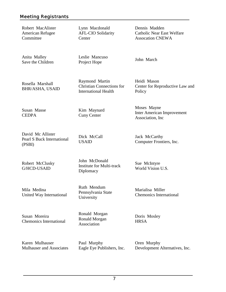Robert MacAlister American Refugee **Committee** 

Lynn Macdonald AFL-CIO Solidarity **Center** 

Dennis Madden Catholic Near East Welfare Assocation CNEWA

Anita Malley Save the Children

Rosella Marshall BHR/ASHA, USAID Leslie Mancuso Project Hope March

Policy

Raymond Martin Christian Connections for International Health

Susan Masse **CEDPA** 

Kim Maynard Cuny Center

Dick McCall USAID

David Mc Allister Pearl S Buck International (PSBI)

Robert McClusky G/HCD-USAID

John McDonald Institute for Multi-track **Diplomacy** 

Mila Medina United Way International

Susan Moreira Chemonics International

Ronald Morgan Ronald Morgan Association

Ruth Mendum Pennsylvania State

University

Doris Mosley **HRSA** 

Karen Mulhauser Mulhauser and Associates Paul Murphy Eagle Eye Publishers, Inc.

Heidi Mason Center for Reproductive Law and

Moses Mayne Inter American Improvement Association, Inc

Jack McCarthy Computer Frontiers, Inc.

Sue McIntyre World Vision U.S.

Marialisa Miller Chemonics International

Oren Murphy Development Alternatives, Inc.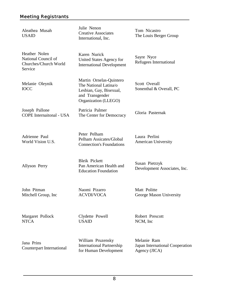| Aleathea Musah<br><b>USAID</b>                                           | Julie Nenon<br><b>Creative Associates</b><br>International, Inc.                                                       | Tom Nicastro<br>The Louis Berger Group                                            |
|--------------------------------------------------------------------------|------------------------------------------------------------------------------------------------------------------------|-----------------------------------------------------------------------------------|
| Heather Nolen<br>National Council of<br>Churches/Church World<br>Service | Karen Nurick<br>United States Agency for<br><b>International Development</b>                                           | Sayre Nyce<br>Refugees International                                              |
| Melanie Oleynik<br><b>IOCC</b>                                           | Martin Ornelas-Quintero<br>The National Latina/o<br>Lesbian, Gay, Bisexual,<br>and Transgender<br>Organization (LLEGO) | Scott Overall<br>Sonenthal & Overall, PC                                          |
| Joseph Pallone<br><b>COPE</b> Internaitonal - USA                        | Patricia Palmer<br>The Center for Democracy                                                                            | Gloria Pasternak                                                                  |
| Adrienne Paul<br>World Vision U.S.                                       | Peter Pelham<br>Pelham Assicates/Global<br><b>Connection's Foundations</b>                                             | Laura Perlini<br><b>American University</b>                                       |
| Allyson Perry                                                            | <b>Bleik Pickett</b><br>Pan American Health and<br><b>Education Foundation</b>                                         | Susan Pietrzyk<br>Development Associates, Inc.                                    |
| John Pitman<br>Mitchell Group, Inc.                                      | Naomi Pizarro<br><b>ACVDI/VOCA</b>                                                                                     | Matt Politte<br>George Mason University                                           |
| Margaret Pollock<br><b>NTCA</b>                                          | Clydette Powell<br><b>USAID</b>                                                                                        | Robert Prescott<br>NCM, Inc                                                       |
| Jana Prins<br><b>Counterpart International</b>                           | William Pruzensky<br><b>International Partnership</b><br>for Human Davalanmant                                         | Melanie Ram<br>Japan International Cooperation<br>$\Lambda$ conor (HC $\Lambda$ ) |

Agency (JICA)

for Human Development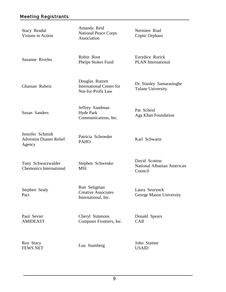| <b>Stacy Readal</b><br>Visions in Action                      | Amanda Reid<br><b>National Peace Corps</b><br>Association               | Nermien Riad<br>Coptic Orphans                         |
|---------------------------------------------------------------|-------------------------------------------------------------------------|--------------------------------------------------------|
| <b>Susanne Riveles</b>                                        | Robin Root<br>Phelps Stokes Fund                                        | Eurydice Rorick<br><b>PLAN</b> International           |
| Ghassan Rubeiz                                                | Douglas Rutzen<br><b>International Center for</b><br>Not-for-Profit Law | Dr. Stanley Samarasinghe<br><b>Tulane University</b>   |
| Susan Sanders                                                 | Jeffrey Sandman<br><b>Hyde Park</b><br>Communications, Inc.             | Pat Scheid<br>Aga Khan Foundation                      |
| Jennifer Schmidt<br><b>Adventist Diaster Relief</b><br>Agency | Patricia Schroeder<br><b>PAHO</b>                                       | Karl Schwartz                                          |
| Tony Schwarzwalder<br><b>Chemonics International</b>          | Stephen Schwenke<br><b>MSI</b>                                          | David Scotton<br>National Albanian American<br>Council |
| Stephen Sealy<br>Pact                                         | Ron Seligman<br><b>Creative Associates</b><br>International, Inc.       | Laura Seurynck<br>George Mason University              |
| Paul Sevier<br><b>AMIDEAST</b>                                | Cheryl Simmons<br>Computer Frontiers, Inc.                              | Donald Spears<br><b>CAII</b>                           |
| Roy Stacy<br><b>FEWS NET</b>                                  | Lou Stamberg                                                            | John Stamm<br><b>USAID</b>                             |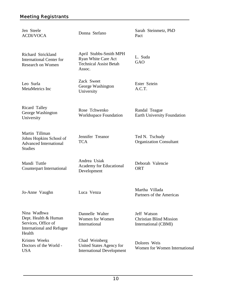| Jen Steele<br><b>ACDI/VOCA</b>                                                                           | Donna Stefano                                                                            | Sarah Steinmetz, PhD<br>Pact                                          |
|----------------------------------------------------------------------------------------------------------|------------------------------------------------------------------------------------------|-----------------------------------------------------------------------|
| Richard Strickland<br><b>International Center for</b><br>Research on Women                               | April Stubbs-Smith MPH<br>Ryan White Care Act<br><b>Technical Assist Betah</b><br>Assoc. | L. Suda<br>GAO                                                        |
| Leo Surla<br>MetaMetrics Inc                                                                             | Zack Sweet<br>George Washington<br>University                                            | Ester Sztein<br>A.C.T.                                                |
| Ricard Talley<br>George Washington<br>University                                                         | Rose Tchwenko<br><b>Worldsspace Foundation</b>                                           | Randal Teague<br><b>Earth University Foundation</b>                   |
| Martin Tillman<br>Johns Hopkins School of<br><b>Advanced International</b><br><b>Studies</b>             | Jennifer Treanor<br><b>TCA</b>                                                           | Ted N. Tschudy<br><b>Organization Consultant</b>                      |
| Mandi Tuttle<br><b>Counterpart International</b>                                                         | Andrea Usiak<br>Academy for Educational<br>Development                                   | Deborah Valencie<br><b>ORT</b>                                        |
| Jo-Anne Vaughn                                                                                           | Luca Venza                                                                               | Martha Villada<br>Partners of the Americas                            |
| Nina Wadhwa<br>Dept. Health & Human<br>Services, Office of<br><b>International and Refugee</b><br>Health | Dannelle Walter<br>Women for Women<br>International                                      | Jeff Watson<br><b>Christian Blind Mission</b><br>International (CBMI) |
| Kristen Weeks<br>Doctors of the World -<br><b>USA</b>                                                    | Chad Weinberg<br>United States Agency for<br><b>International Development</b>            | Dolores Weis<br>Women for Women International                         |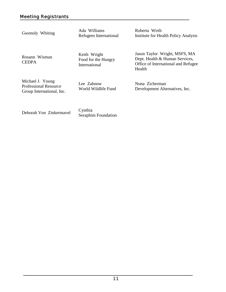Gwenoly Whiting Ada Williams Refugees International

Roberta Wirth Institute for Health Policy Analysis

Rosann Wisman **CEDPA** 

Keith Wright Food for the Hungry International

Jason Taylor Wright, MSFS, MA Dept. Health & Human Services, Office of International and Refugee Health

Michael J. Young Professional Resource Group International, Inc.

Lee Zahnow World Wildlife Fund Nona Zicherman Development Alternatives, Inc.

Deborah Von Zinkermavel Cynthia

Seraphim Foundation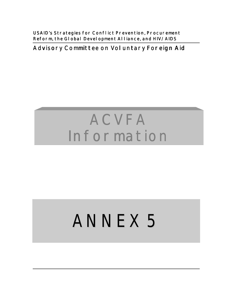**USAID's Strategies for Conflict Prevention, Procurement** Reform, the Global Development Alliance, and HIV/AIDS

**Advisory Committee on Voluntary Foreign Aid** 

## **ACVFA Information**

# ANNEX 5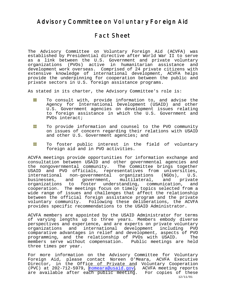#### **Advisory Committee on Voluntary Foreign Aid**

## **Fact Sheet**

The Advisory Committee on Voluntary Foreign Aid (ACVFA) was established by Presidential directive after World War II to serve as a link between the U.S. Government and private voluntary organizations (PVOs) active in humanitarian assistance and development work overseas. Comprised of 24 private citizens with extensive knowledge of international development, ACVFA helps provide the underpinning for cooperation between the public and private sectors in U.S. foreign assistance programs.

As stated in its charter, the Advisory Committee's role is:

- HE To consult with, provide information to, and advise the Agency for International Development (USAID) and other U.S. Government agencies on development issues relating to foreign assistance in which the U.S. Government and PVOs interact;
- HH I To provide information and counsel to the PVO community on issues of concern regarding their relations with USAID and other U.S. Government agencies; and
- H. To foster public interest in the field of voluntary foreign aid and in PVO activities.

ACVFA meetings provide opportunities for information exchange and consultation between USAID and other governmental agencies and the nongovernmental community. The Committee brings together USAID and PVO officials, representatives from universities, international non-governmental organizations (NGOs), U.S. businesses, and government, multilateral, and private organizations to foster understanding, communication, and cooperation. The meetings focus on timely topics selected from a wide range of issues and challenges that affect the relationship between the official foreign assistance program and the private voluntary community. Following these deliberations, the ACVFA provides specific recommendations to the USAID Administrator.

ACVFA members are appointed by the USAID Administrator for terms of varying lengths up to three years. Members embody diverse perspectives and experience, and are experts on private voluntary organizations and international development including PVO comparative advantages in relief and development, aspects of PVO programming, and the relationship of PVOs with USAID. The members serve without compensation. Public meetings are held three times per year.

For more information on the Advisory Committee for Voluntary Foreign Aid, please contact Noreen O'Meara, ACVFA Executive Director, in the Office of Private and Voluntary Cooperation (PVC) at 202-712-5979, [nomeara@usaid.gov.](mailto:nomeara@usaid.gov) ACVFA meeting reports are available after each public meeting. For copies of these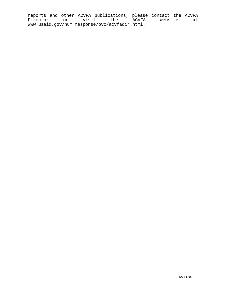reports and other ACVFA publications, please contact the ACVFA Director or visit the ACVFA website at www.usaid.gov/hum\_response/pvc/acvfadir.html.